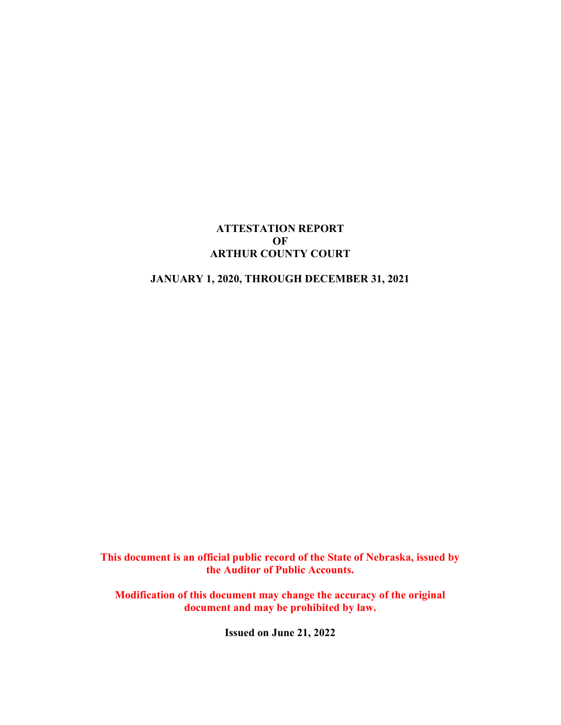## ATTESTATION REPORT OF ARTHUR COUNTY COURT

## JANUARY 1, 2020, THROUGH DECEMBER 31, 2021

This document is an official public record of the State of Nebraska, issued by the Auditor of Public Accounts.

Modification of this document may change the accuracy of the original document and may be prohibited by law.

Issued on June 21, 2022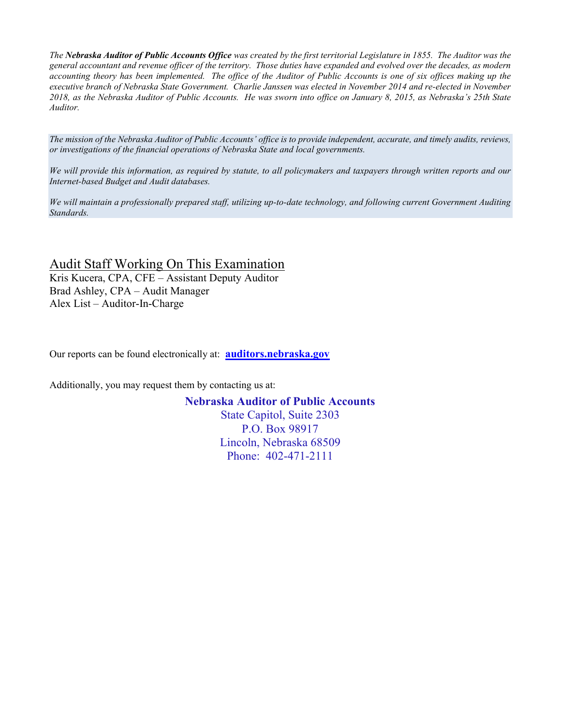The Nebraska Auditor of Public Accounts Office was created by the first territorial Legislature in 1855. The Auditor was the general accountant and revenue officer of the territory. Those duties have expanded and evolved over the decades, as modern accounting theory has been implemented. The office of the Auditor of Public Accounts is one of six offices making up the executive branch of Nebraska State Government. Charlie Janssen was elected in November 2014 and re-elected in November 2018, as the Nebraska Auditor of Public Accounts. He was sworn into office on January 8, 2015, as Nebraska's 25th State Auditor.

The mission of the Nebraska Auditor of Public Accounts' office is to provide independent, accurate, and timely audits, reviews, or investigations of the financial operations of Nebraska State and local governments.

We will provide this information, as required by statute, to all policymakers and taxpayers through written reports and our Internet-based Budget and Audit databases.

We will maintain a professionally prepared staff, utilizing up-to-date technology, and following current Government Auditing Standards.

Audit Staff Working On This Examination Kris Kucera, CPA, CFE – Assistant Deputy Auditor Brad Ashley, CPA – Audit Manager Alex List – Auditor-In-Charge

Our reports can be found electronically at: **auditors.nebraska.gov** 

Additionally, you may request them by contacting us at:

Nebraska Auditor of Public Accounts

State Capitol, Suite 2303 P.O. Box 98917 Lincoln, Nebraska 68509 Phone: 402-471-2111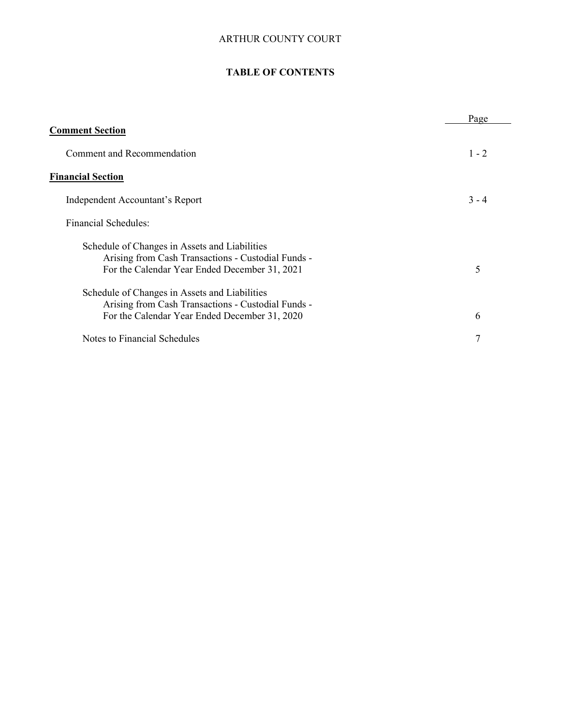## ARTHUR COUNTY COURT

## TABLE OF CONTENTS

|                                                                                                                                                      | Page    |
|------------------------------------------------------------------------------------------------------------------------------------------------------|---------|
| <b>Comment Section</b>                                                                                                                               |         |
| Comment and Recommendation                                                                                                                           | $1 - 2$ |
| <b>Financial Section</b>                                                                                                                             |         |
| Independent Accountant's Report                                                                                                                      | $3 - 4$ |
| Financial Schedules:                                                                                                                                 |         |
| Schedule of Changes in Assets and Liabilities<br>Arising from Cash Transactions - Custodial Funds -<br>For the Calendar Year Ended December 31, 2021 | 5       |
| Schedule of Changes in Assets and Liabilities<br>Arising from Cash Transactions - Custodial Funds -<br>For the Calendar Year Ended December 31, 2020 | 6       |
| Notes to Financial Schedules                                                                                                                         | 7       |
|                                                                                                                                                      |         |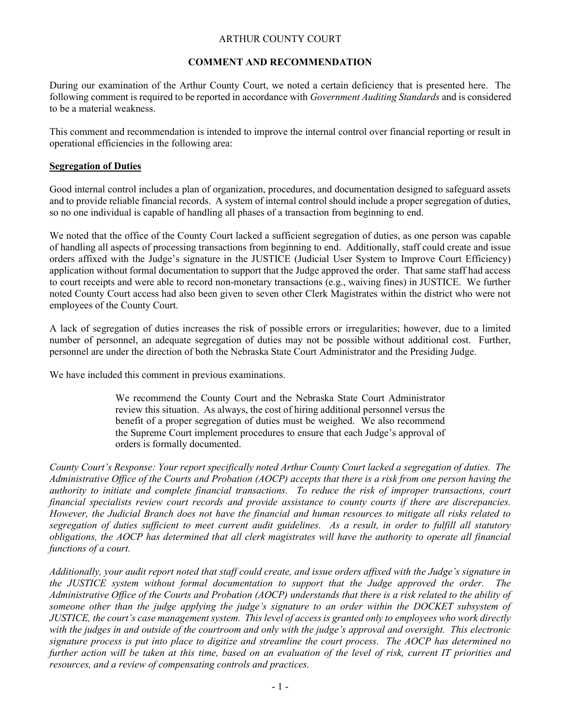## ARTHUR COUNTY COURT

#### COMMENT AND RECOMMENDATION

During our examination of the Arthur County Court, we noted a certain deficiency that is presented here. The following comment is required to be reported in accordance with *Government Auditing Standards* and is considered to be a material weakness.

This comment and recommendation is intended to improve the internal control over financial reporting or result in operational efficiencies in the following area:

### Segregation of Duties

Good internal control includes a plan of organization, procedures, and documentation designed to safeguard assets and to provide reliable financial records. A system of internal control should include a proper segregation of duties, so no one individual is capable of handling all phases of a transaction from beginning to end.

We noted that the office of the County Court lacked a sufficient segregation of duties, as one person was capable of handling all aspects of processing transactions from beginning to end. Additionally, staff could create and issue orders affixed with the Judge's signature in the JUSTICE (Judicial User System to Improve Court Efficiency) application without formal documentation to support that the Judge approved the order. That same staff had access to court receipts and were able to record non-monetary transactions (e.g., waiving fines) in JUSTICE. We further noted County Court access had also been given to seven other Clerk Magistrates within the district who were not employees of the County Court.

A lack of segregation of duties increases the risk of possible errors or irregularities; however, due to a limited number of personnel, an adequate segregation of duties may not be possible without additional cost. Further, personnel are under the direction of both the Nebraska State Court Administrator and the Presiding Judge.

We have included this comment in previous examinations.

We recommend the County Court and the Nebraska State Court Administrator review this situation. As always, the cost of hiring additional personnel versus the benefit of a proper segregation of duties must be weighed. We also recommend the Supreme Court implement procedures to ensure that each Judge's approval of orders is formally documented.

County Court's Response: Your report specifically noted Arthur County Court lacked a segregation of duties. The Administrative Office of the Courts and Probation (AOCP) accepts that there is a risk from one person having the authority to initiate and complete financial transactions. To reduce the risk of improper transactions, court financial specialists review court records and provide assistance to county courts if there are discrepancies. However, the Judicial Branch does not have the financial and human resources to mitigate all risks related to segregation of duties sufficient to meet current audit guidelines. As a result, in order to fulfill all statutory obligations, the AOCP has determined that all clerk magistrates will have the authority to operate all financial functions of a court.

Additionally, your audit report noted that staff could create, and issue orders affixed with the Judge's signature in the JUSTICE system without formal documentation to support that the Judge approved the order. Administrative Office of the Courts and Probation (AOCP) understands that there is a risk related to the ability of someone other than the judge applying the judge's signature to an order within the DOCKET subsystem of JUSTICE, the court's case management system. This level of access is granted only to employees who work directly with the judges in and outside of the courtroom and only with the judge's approval and oversight. This electronic signature process is put into place to digitize and streamline the court process. The AOCP has determined no further action will be taken at this time, based on an evaluation of the level of risk, current IT priorities and resources, and a review of compensating controls and practices.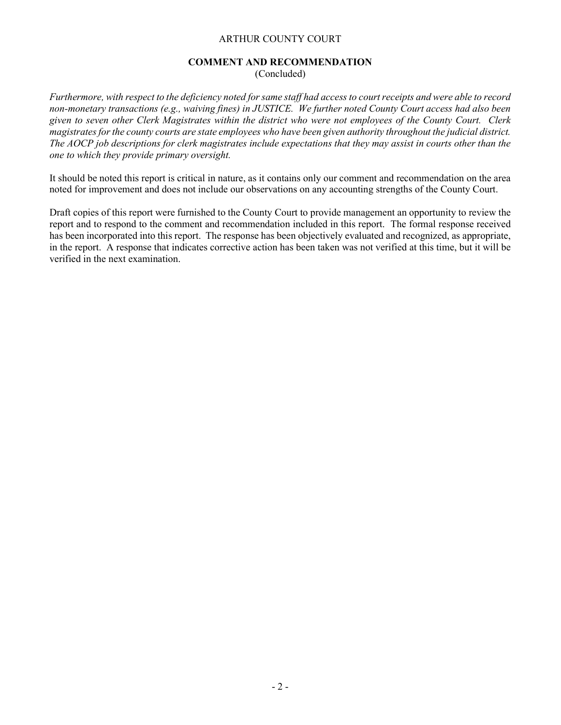#### ARTHUR COUNTY COURT

#### COMMENT AND RECOMMENDATION

(Concluded)

Furthermore, with respect to the deficiency noted for same staff had access to court receipts and were able to record non-monetary transactions (e.g., waiving fines) in JUSTICE. We further noted County Court access had also been given to seven other Clerk Magistrates within the district who were not employees of the County Court. Clerk magistrates for the county courts are state employees who have been given authority throughout the judicial district. The AOCP job descriptions for clerk magistrates include expectations that they may assist in courts other than the one to which they provide primary oversight.

It should be noted this report is critical in nature, as it contains only our comment and recommendation on the area noted for improvement and does not include our observations on any accounting strengths of the County Court.

Draft copies of this report were furnished to the County Court to provide management an opportunity to review the report and to respond to the comment and recommendation included in this report. The formal response received has been incorporated into this report. The response has been objectively evaluated and recognized, as appropriate, in the report. A response that indicates corrective action has been taken was not verified at this time, but it will be verified in the next examination.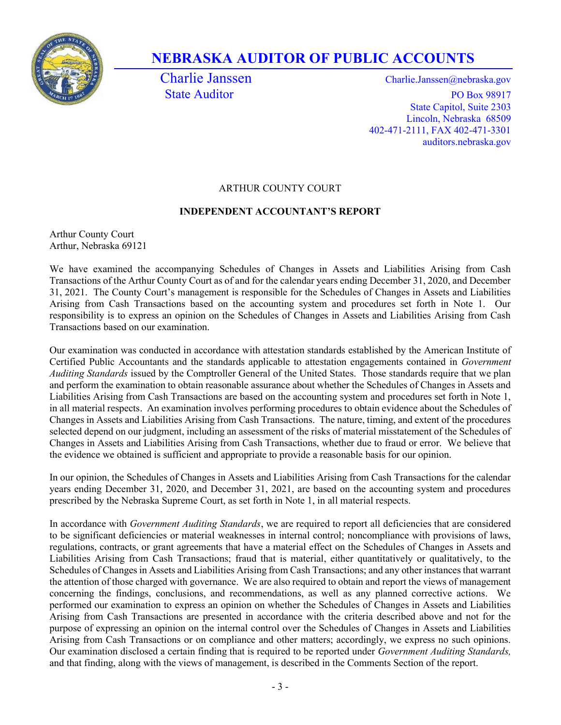

# NEBRASKA AUDITOR OF PUBLIC ACCOUNTS

Charlie Janssen Charlie.Janssen @nebraska.gov State Auditor PO Box 98917 State Capitol, Suite 2303 Lincoln, Nebraska 68509 402-471-2111, FAX 402-471-3301 auditors.nebraska.gov

## ARTHUR COUNTY COURT

## INDEPENDENT ACCOUNTANT'S REPORT

Arthur County Court Arthur, Nebraska 69121

We have examined the accompanying Schedules of Changes in Assets and Liabilities Arising from Cash Transactions of the Arthur County Court as of and for the calendar years ending December 31, 2020, and December 31, 2021. The County Court's management is responsible for the Schedules of Changes in Assets and Liabilities Arising from Cash Transactions based on the accounting system and procedures set forth in Note 1. Our responsibility is to express an opinion on the Schedules of Changes in Assets and Liabilities Arising from Cash Transactions based on our examination.

Our examination was conducted in accordance with attestation standards established by the American Institute of Certified Public Accountants and the standards applicable to attestation engagements contained in Government Auditing Standards issued by the Comptroller General of the United States. Those standards require that we plan and perform the examination to obtain reasonable assurance about whether the Schedules of Changes in Assets and Liabilities Arising from Cash Transactions are based on the accounting system and procedures set forth in Note 1, in all material respects. An examination involves performing procedures to obtain evidence about the Schedules of Changes in Assets and Liabilities Arising from Cash Transactions. The nature, timing, and extent of the procedures selected depend on our judgment, including an assessment of the risks of material misstatement of the Schedules of Changes in Assets and Liabilities Arising from Cash Transactions, whether due to fraud or error. We believe that the evidence we obtained is sufficient and appropriate to provide a reasonable basis for our opinion.

In our opinion, the Schedules of Changes in Assets and Liabilities Arising from Cash Transactions for the calendar years ending December 31, 2020, and December 31, 2021, are based on the accounting system and procedures prescribed by the Nebraska Supreme Court, as set forth in Note 1, in all material respects.

In accordance with Government Auditing Standards, we are required to report all deficiencies that are considered to be significant deficiencies or material weaknesses in internal control; noncompliance with provisions of laws, regulations, contracts, or grant agreements that have a material effect on the Schedules of Changes in Assets and Liabilities Arising from Cash Transactions; fraud that is material, either quantitatively or qualitatively, to the Schedules of Changes in Assets and Liabilities Arising from Cash Transactions; and any other instances that warrant the attention of those charged with governance. We are also required to obtain and report the views of management concerning the findings, conclusions, and recommendations, as well as any planned corrective actions. We performed our examination to express an opinion on whether the Schedules of Changes in Assets and Liabilities Arising from Cash Transactions are presented in accordance with the criteria described above and not for the purpose of expressing an opinion on the internal control over the Schedules of Changes in Assets and Liabilities Arising from Cash Transactions or on compliance and other matters; accordingly, we express no such opinions. Our examination disclosed a certain finding that is required to be reported under Government Auditing Standards, and that finding, along with the views of management, is described in the Comments Section of the report.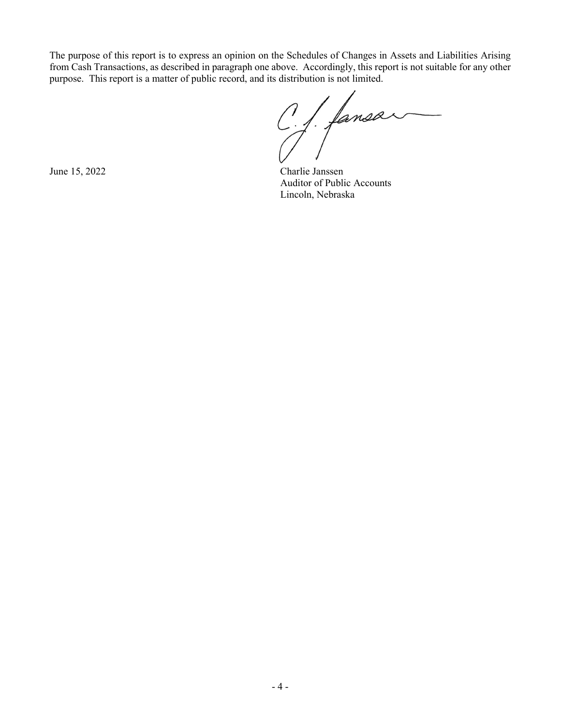The purpose of this report is to express an opinion on the Schedules of Changes in Assets and Liabilities Arising from Cash Transactions, as described in paragraph one above. Accordingly, this report is not suitable for any other purpose. This report is a matter of public record, and its distribution is not limited.

C.J. fansar

June 15, 2022 Charlie Janssen Auditor of Public Accounts Lincoln, Nebraska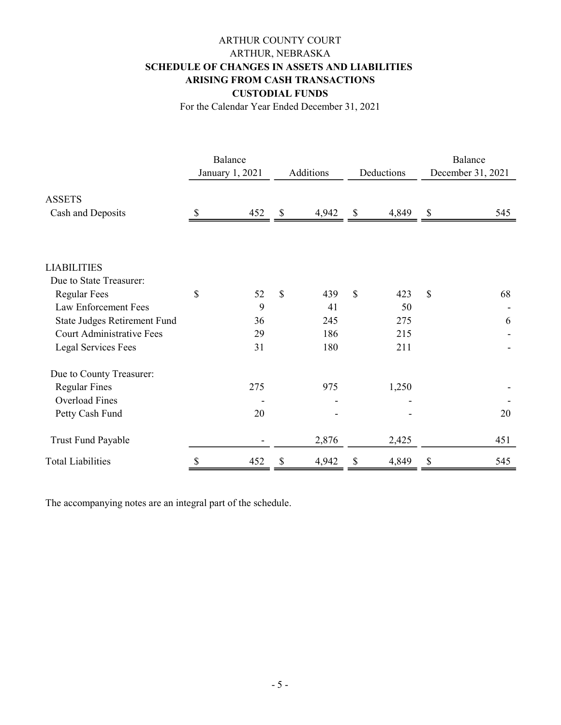# ARTHUR COUNTY COURT ARTHUR, NEBRASKA SCHEDULE OF CHANGES IN ASSETS AND LIABILITIES ARISING FROM CASH TRANSACTIONS CUSTODIAL FUNDS

For the Calendar Year Ended December 31, 2021

|                                     | Balance<br>January 1, 2021 |     | Additions   |       | Deductions  |       | Balance<br>December 31, 2021 |     |
|-------------------------------------|----------------------------|-----|-------------|-------|-------------|-------|------------------------------|-----|
| <b>ASSETS</b>                       |                            |     |             |       |             |       |                              |     |
| Cash and Deposits                   | $\boldsymbol{\mathsf{S}}$  | 452 | \$          | 4,942 | \$          | 4,849 | \$                           | 545 |
|                                     |                            |     |             |       |             |       |                              |     |
| <b>LIABILITIES</b>                  |                            |     |             |       |             |       |                              |     |
| Due to State Treasurer:             |                            |     |             |       |             |       |                              |     |
| <b>Regular Fees</b>                 | \$                         | 52  | $\mathbf S$ | 439   | $\mathbf S$ | 423   | $\mathbb{S}$                 | 68  |
| Law Enforcement Fees                |                            | 9   |             | 41    |             | 50    |                              |     |
| <b>State Judges Retirement Fund</b> |                            | 36  |             | 245   |             | 275   |                              | 6   |
| <b>Court Administrative Fees</b>    |                            | 29  |             | 186   |             | 215   |                              |     |
| <b>Legal Services Fees</b>          |                            | 31  |             | 180   |             | 211   |                              |     |
| Due to County Treasurer:            |                            |     |             |       |             |       |                              |     |
| <b>Regular Fines</b>                |                            | 275 |             | 975   |             | 1,250 |                              |     |
| <b>Overload Fines</b>               |                            |     |             |       |             |       |                              |     |
| Petty Cash Fund                     |                            | 20  |             |       |             |       |                              | 20  |
| <b>Trust Fund Payable</b>           |                            |     |             | 2,876 |             | 2,425 |                              | 451 |
| <b>Total Liabilities</b>            | \$                         | 452 | \$          | 4,942 | \$          | 4,849 | \$                           | 545 |

The accompanying notes are an integral part of the schedule.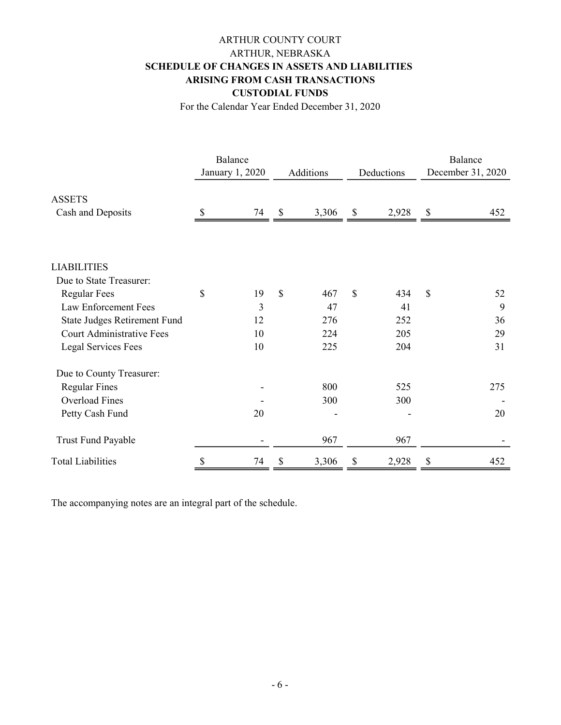# ARTHUR COUNTY COURT ARTHUR, NEBRASKA SCHEDULE OF CHANGES IN ASSETS AND LIABILITIES ARISING FROM CASH TRANSACTIONS CUSTODIAL FUNDS

For the Calendar Year Ended December 31, 2020

|                                  |                 | Balance |             |       |              |       | Balance<br>December 31, 2020 |     |
|----------------------------------|-----------------|---------|-------------|-------|--------------|-------|------------------------------|-----|
|                                  | January 1, 2020 |         | Additions   |       | Deductions   |       |                              |     |
| <b>ASSETS</b>                    |                 |         |             |       |              |       |                              |     |
| Cash and Deposits                |                 | 74      | \$          | 3,306 | \$           | 2,928 | \$                           | 452 |
|                                  |                 |         |             |       |              |       |                              |     |
| <b>LIABILITIES</b>               |                 |         |             |       |              |       |                              |     |
| Due to State Treasurer:          |                 |         |             |       |              |       |                              |     |
| <b>Regular Fees</b>              | \$              | 19      | $\mathbf S$ | 467   | $\mathbb{S}$ | 434   | \$                           | 52  |
| Law Enforcement Fees             |                 | 3       |             | 47    |              | 41    |                              | 9   |
| State Judges Retirement Fund     |                 | 12      |             | 276   |              | 252   |                              | 36  |
| <b>Court Administrative Fees</b> |                 | 10      |             | 224   |              | 205   |                              | 29  |
| <b>Legal Services Fees</b>       |                 | 10      |             | 225   |              | 204   |                              | 31  |
| Due to County Treasurer:         |                 |         |             |       |              |       |                              |     |
| <b>Regular Fines</b>             |                 |         |             | 800   |              | 525   |                              | 275 |
| <b>Overload Fines</b>            |                 |         |             | 300   |              | 300   |                              |     |
| Petty Cash Fund                  |                 | 20      |             |       |              |       |                              | 20  |
| Trust Fund Payable               |                 |         |             | 967   |              | 967   |                              |     |
| <b>Total Liabilities</b>         | \$              | 74      | \$          | 3,306 | \$           | 2,928 | \$                           | 452 |

The accompanying notes are an integral part of the schedule.